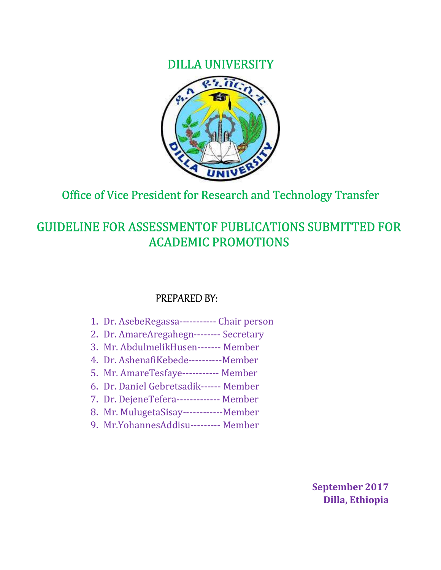# DILLA UNIVERSITY



# Office of Vice President for Research and Technology Transfer

# GUIDELINE FOR ASSESSMENTOF PUBLICATIONS SUBMITTED FOR ACADEMIC PROMOTIONS ACADEMIC PROMOTIONS

# PREPARED BY:

- 1. Dr. AsebeRegassa----------- Chair person
- 2. Dr. AmareAregahegn AmareAregahegn-------- Secretary
- 3. Mr. AbdulmelikHusen AbdulmelikHusen------- Member
- 4. Dr. AshenafiKebede AshenafiKebede----------Member
- 5. Mr. AmareTesfaye AmareTesfaye----------- Member
- 6. Dr. Daniel Gebretsadik Gebretsadik------ Member
- 7. Dr. DejeneTefera DejeneTefera------------- Member
- 8. Mr. MulugetaSisay MulugetaSisay------------Member
- 9. Mr.YohannesAddisu Mr.YohannesAddisu--------- Member

**September September 2017 Dilla, Ethiopia**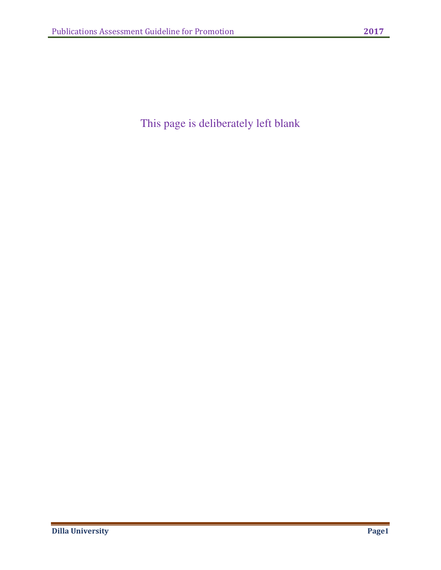This page is deliberately left blank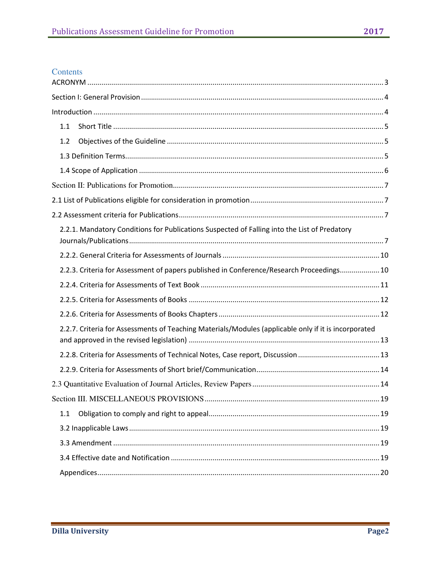#### Contents

| 1.1                                                                                                  |     |
|------------------------------------------------------------------------------------------------------|-----|
| 1.2                                                                                                  |     |
|                                                                                                      |     |
|                                                                                                      |     |
|                                                                                                      |     |
|                                                                                                      |     |
|                                                                                                      |     |
| 2.2.1. Mandatory Conditions for Publications Suspected of Falling into the List of Predatory         |     |
|                                                                                                      |     |
| 2.2.3. Criteria for Assessment of papers published in Conference/Research Proceedings 10             |     |
|                                                                                                      |     |
|                                                                                                      |     |
|                                                                                                      |     |
| 2.2.7. Criteria for Assessments of Teaching Materials/Modules (applicable only if it is incorporated |     |
|                                                                                                      |     |
|                                                                                                      |     |
|                                                                                                      |     |
| Section III. MISCELLANEOUS PROVISIONS                                                                | .19 |
| 1.1                                                                                                  |     |
|                                                                                                      |     |
|                                                                                                      |     |
|                                                                                                      |     |
|                                                                                                      |     |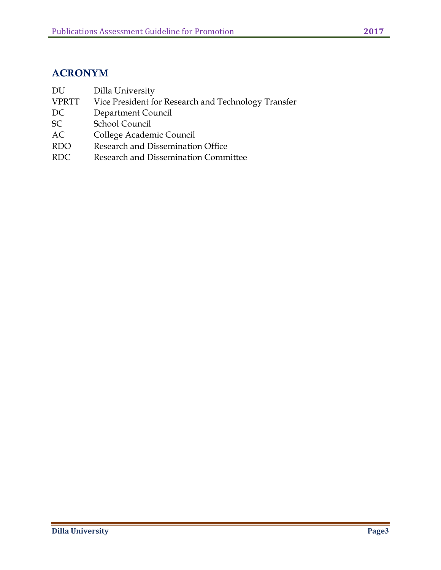| DU           | Dilla University                                    |
|--------------|-----------------------------------------------------|
| <b>VPRTT</b> | Vice President for Research and Technology Transfer |
| DC           | Department Council                                  |
| SC           | <b>School Council</b>                               |
| AC           | College Academic Council                            |
| <b>RDO</b>   | Research and Dissemination Office                   |
| RDC.         | Research and Dissemination Committee                |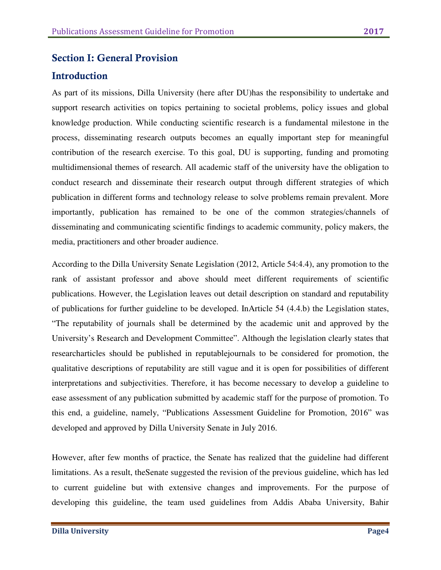## **Section I: General Provision**

## **Introduction**

As part of its missions, Dilla University (here after DU)has the responsibility to undertake and support research activities on topics pertaining to societal problems, policy issues and global knowledge production. While conducting scientific research is a fundamental milestone in the process, disseminating research outputs becomes an equally important step for meaningful contribution of the research exercise. To this goal, DU is supporting, funding and promoting multidimensional themes of research. All academic staff of the university have the obligation to conduct research and disseminate their research output through different strategies of which publication in different forms and technology release to solve problems remain prevalent. More importantly, publication has remained to be one of the common strategies/channels of disseminating and communicating scientific findings to academic community, policy makers, the media, practitioners and other broader audience.

According to the Dilla University Senate Legislation (2012, Article 54:4.4), any promotion to the rank of assistant professor and above should meet different requirements of scientific publications. However, the Legislation leaves out detail description on standard and reputability of publications for further guideline to be developed. InArticle 54 (4.4.b) the Legislation states, "The reputability of journals shall be determined by the academic unit and approved by the University's Research and Development Committee". Although the legislation clearly states that researcharticles should be published in reputablejournals to be considered for promotion, the qualitative descriptions of reputability are still vague and it is open for possibilities of different interpretations and subjectivities. Therefore, it has become necessary to develop a guideline to ease assessment of any publication submitted by academic staff for the purpose of promotion. To this end, a guideline, namely, "Publications Assessment Guideline for Promotion, 2016" was developed and approved by Dilla University Senate in July 2016.

However, after few months of practice, the Senate has realized that the guideline had different limitations. As a result, theSenate suggested the revision of the previous guideline, which has led to current guideline but with extensive changes and improvements. For the purpose of developing this guideline, the team used guidelines from Addis Ababa University, Bahir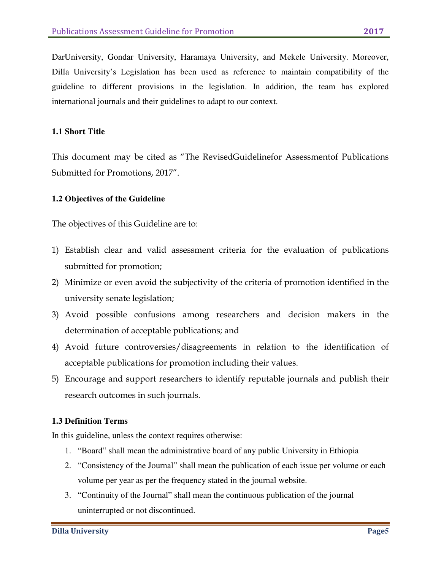DarUniversity, Gondar University, Haramaya University, and Mekele University. Moreover, Dilla University's Legislation has been used as reference to maintain compatibility of the guideline to different provisions in the legislation. In addition, the team has explored international journals and their guidelines to adapt to our context.

#### **1.1 Short Title**

This document may be cited as "The RevisedGuidelinefor Assessmentof Publications Submitted for Promotions, 2017".

#### **1.2 Objectives of the Guideline**

The objectives of this Guideline are to:

- 1) Establish clear and valid assessment criteria for the evaluation of publications submitted for promotion;
- 2) Minimize or even avoid the subjectivity of the criteria of promotion identified in the university senate legislation;
- 3) Avoid possible confusions among researchers and decision makers in the determination of acceptable publications; and
- 4) Avoid future controversies/disagreements in relation to the identification of acceptable publications for promotion including their values.
- 5) Encourage and support researchers to identify reputable journals and publish their research outcomes in such journals.

#### **1.3 Definition Terms**

In this guideline, unless the context requires otherwise:

- 1. "Board" shall mean the administrative board of any public University in Ethiopia
- 2. "Consistency of the Journal" shall mean the publication of each issue per volume or each volume per year as per the frequency stated in the journal website.
- 3. "Continuity of the Journal" shall mean the continuous publication of the journal uninterrupted or not discontinued.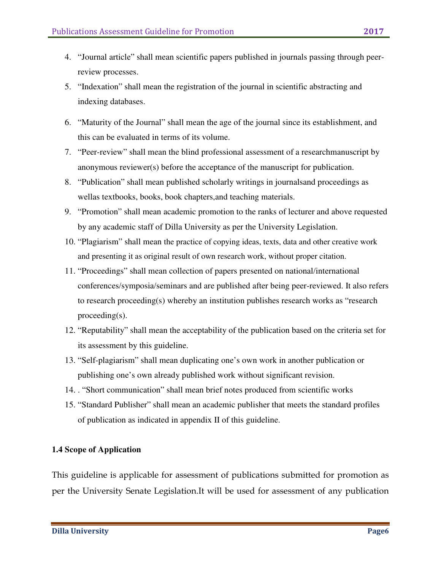- 4. "Journal article" shall mean scientific papers published in journals passing through peerreview processes.
- 5. "Indexation" shall mean the registration of the journal in scientific abstracting and indexing databases.
- 6. "Maturity of the Journal" shall mean the age of the journal since its establishment, and this can be evaluated in terms of its volume.
- 7. "Peer-review" shall mean the blind professional assessment of a researchmanuscript by anonymous reviewer(s) before the acceptance of the manuscript for publication.
- 8. "Publication" shall mean published scholarly writings in journalsand proceedings as wellas textbooks, books, book chapters,and teaching materials.
- 9. "Promotion" shall mean academic promotion to the ranks of lecturer and above requested by any academic staff of Dilla University as per the University Legislation.
- 10. "Plagiarism" shall mean the practice of copying ideas, texts, data and other creative work and presenting it as original result of own research work, without proper citation.
- 11. "Proceedings" shall mean collection of papers presented on national/international conferences/symposia/seminars and are published after being peer-reviewed. It also refers to research proceeding(s) whereby an institution publishes research works as "research proceeding(s).
- 12. "Reputability" shall mean the acceptability of the publication based on the criteria set for its assessment by this guideline.
- 13. "Self-plagiarism" shall mean duplicating one's own work in another publication or publishing one's own already published work without significant revision.
- 14. . "Short communication" shall mean brief notes produced from scientific works
- 15. "Standard Publisher" shall mean an academic publisher that meets the standard profiles of publication as indicated in appendix II of this guideline.

#### **1.4 Scope of Application**

This guideline is applicable for assessment of publications submitted for promotion as per the University Senate Legislation.It will be used for assessment of any publication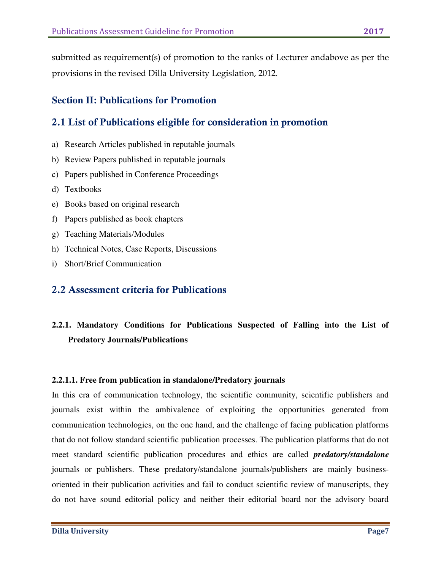submitted as requirement(s) of promotion to the ranks of Lecturer andabove as per the provisions in the revised Dilla University Legislation, 2012.

# **Section II: Publications for Promotion**

# **2.1 List of Publications eligible for consideration in promotion**

- a) Research Articles published in reputable journals
- b) Review Papers published in reputable journals
- c) Papers published in Conference Proceedings
- d) Textbooks
- e) Books based on original research
- f) Papers published as book chapters
- g) Teaching Materials/Modules
- h) Technical Notes, Case Reports, Discussions
- i) Short/Brief Communication

# **2.2 Assessment criteria for Publications**

# **2.2.1. Mandatory Conditions for Publications Suspected of Falling into the List of Predatory Journals/Publications**

#### **2.2.1.1. Free from publication in standalone/Predatory journals**

In this era of communication technology, the scientific community, scientific publishers and journals exist within the ambivalence of exploiting the opportunities generated from communication technologies, on the one hand, and the challenge of facing publication platforms that do not follow standard scientific publication processes. The publication platforms that do not meet standard scientific publication procedures and ethics are called *predatory/standalone* journals or publishers. These predatory/standalone journals/publishers are mainly businessoriented in their publication activities and fail to conduct scientific review of manuscripts, they do not have sound editorial policy and neither their editorial board nor the advisory board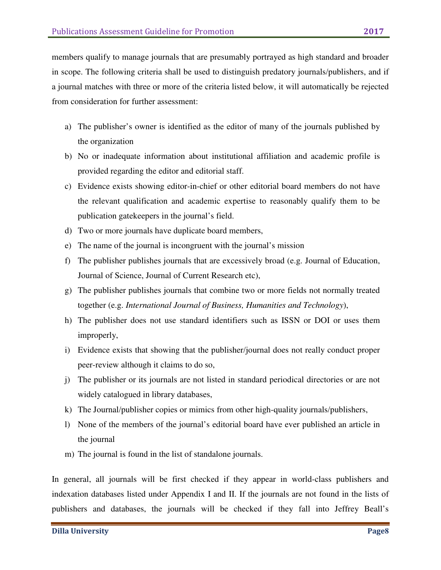members qualify to manage journals that are presumably portrayed as high standard and broader in scope. The following criteria shall be used to distinguish predatory journals/publishers, and if a journal matches with three or more of the criteria listed below, it will automatically be rejected from consideration for further assessment:

- a) The publisher's owner is identified as the editor of many of the journals published by the organization
- b) No or inadequate information about institutional affiliation and academic profile is provided regarding the editor and editorial staff.
- c) Evidence exists showing editor-in-chief or other editorial board members do not have the relevant qualification and academic expertise to reasonably qualify them to be publication gatekeepers in the journal's field.
- d) Two or more journals have duplicate board members,
- e) The name of the journal is incongruent with the journal's mission
- f) The publisher publishes journals that are excessively broad (e.g. Journal of Education, Journal of Science, Journal of Current Research etc),
- g) The publisher publishes journals that combine two or more fields not normally treated together (e.g. *International Journal of Business, Humanities and Technology*),
- h) The publisher does not use standard identifiers such as ISSN or DOI or uses them improperly,
- i) Evidence exists that showing that the publisher/journal does not really conduct proper peer-review although it claims to do so,
- j) The publisher or its journals are not listed in standard periodical directories or are not widely catalogued in library databases,
- k) The Journal/publisher copies or mimics from other high-quality journals/publishers,
- l) None of the members of the journal's editorial board have ever published an article in the journal
- m) The journal is found in the list of standalone journals.

In general, all journals will be first checked if they appear in world-class publishers and indexation databases listed under Appendix I and II. If the journals are not found in the lists of publishers and databases, the journals will be checked if they fall into Jeffrey Beall's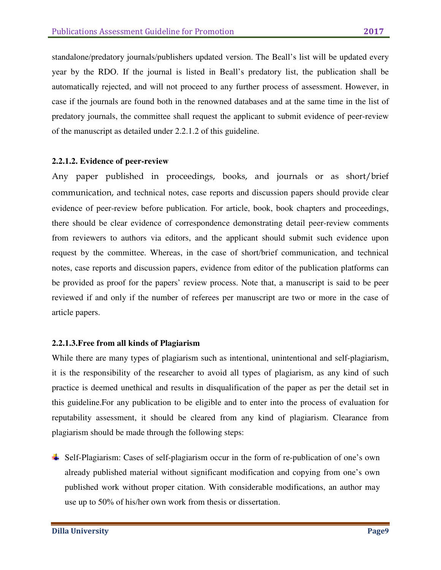standalone/predatory journals/publishers updated version. The Beall's list will be updated every year by the RDO. If the journal is listed in Beall's predatory list, the publication shall be automatically rejected, and will not proceed to any further process of assessment. However, in case if the journals are found both in the renowned databases and at the same time in the list of predatory journals, the committee shall request the applicant to submit evidence of peer-review of the manuscript as detailed under 2.2.1.2 of this guideline.

#### **2.2.1.2. Evidence of peer-review**

Any paper published in proceedings, books, and journals or as short/brief communication, and technical notes, case reports and discussion papers should provide clear evidence of peer-review before publication. For article, book, book chapters and proceedings, there should be clear evidence of correspondence demonstrating detail peer-review comments from reviewers to authors via editors, and the applicant should submit such evidence upon request by the committee. Whereas, in the case of short/brief communication, and technical notes, case reports and discussion papers, evidence from editor of the publication platforms can be provided as proof for the papers' review process. Note that, a manuscript is said to be peer reviewed if and only if the number of referees per manuscript are two or more in the case of article papers.

#### **2.2.1.3.Free from all kinds of Plagiarism**

While there are many types of plagiarism such as intentional, unintentional and self-plagiarism, it is the responsibility of the researcher to avoid all types of plagiarism, as any kind of such practice is deemed unethical and results in disqualification of the paper as per the detail set in this guideline.For any publication to be eligible and to enter into the process of evaluation for reputability assessment, it should be cleared from any kind of plagiarism. Clearance from plagiarism should be made through the following steps:

Self-Plagiarism: Cases of self-plagiarism occur in the form of re-publication of one's own already published material without significant modification and copying from one's own published work without proper citation. With considerable modifications, an author may use up to 50% of his/her own work from thesis or dissertation.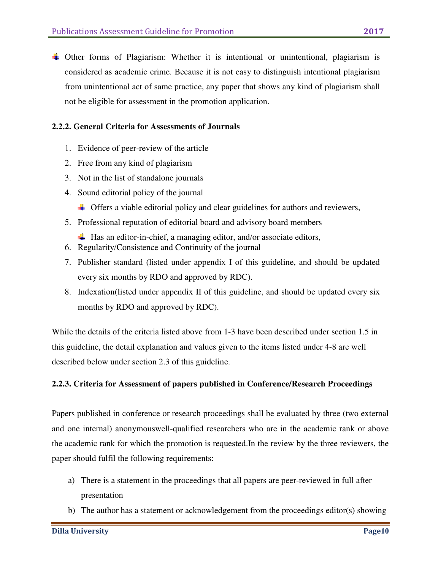Other forms of Plagiarism: Whether it is intentional or unintentional, plagiarism is considered as academic crime. Because it is not easy to distinguish intentional plagiarism from unintentional act of same practice, any paper that shows any kind of plagiarism shall not be eligible for assessment in the promotion application.

## **2.2.2. General Criteria for Assessments of Journals**

- 1. Evidence of peer-review of the article
- 2. Free from any kind of plagiarism
- 3. Not in the list of standalone journals
- 4. Sound editorial policy of the journal
	- Offers a viable editorial policy and clear guidelines for authors and reviewers,
- 5. Professional reputation of editorial board and advisory board members
- $\pm$  Has an editor-in-chief, a managing editor, and/or associate editors,
- 6. Regularity/Consistence and Continuity of the journal
- 7. Publisher standard (listed under appendix I of this guideline, and should be updated every six months by RDO and approved by RDC).
- 8. Indexation(listed under appendix II of this guideline, and should be updated every six months by RDO and approved by RDC).

While the details of the criteria listed above from 1-3 have been described under section 1.5 in this guideline, the detail explanation and values given to the items listed under 4-8 are well described below under section 2.3 of this guideline.

## **2.2.3. Criteria for Assessment of papers published in Conference/Research Proceedings**

Papers published in conference or research proceedings shall be evaluated by three (two external and one internal) anonymouswell-qualified researchers who are in the academic rank or above the academic rank for which the promotion is requested.In the review by the three reviewers, the paper should fulfil the following requirements:

- a) There is a statement in the proceedings that all papers are peer-reviewed in full after presentation
- b) The author has a statement or acknowledgement from the proceedings editor(s) showing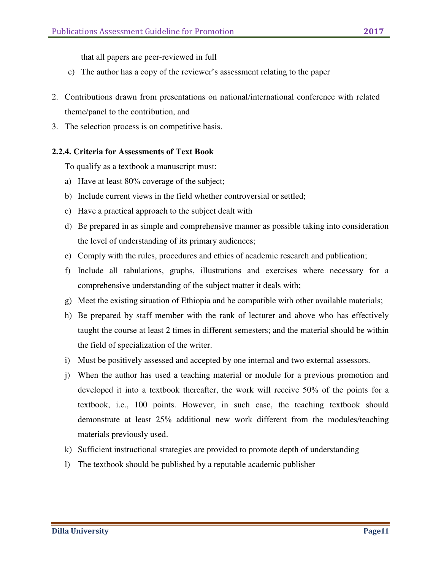that all papers are peer-reviewed in full

- c) The author has a copy of the reviewer's assessment relating to the paper
- 2. Contributions drawn from presentations on national/international conference with related theme/panel to the contribution, and
- 3. The selection process is on competitive basis.

#### **2.2.4. Criteria for Assessments of Text Book**

To qualify as a textbook a manuscript must:

- a) Have at least 80% coverage of the subject;
- b) Include current views in the field whether controversial or settled;
- c) Have a practical approach to the subject dealt with
- d) Be prepared in as simple and comprehensive manner as possible taking into consideration the level of understanding of its primary audiences;
- e) Comply with the rules, procedures and ethics of academic research and publication;
- f) Include all tabulations, graphs, illustrations and exercises where necessary for a comprehensive understanding of the subject matter it deals with;
- g) Meet the existing situation of Ethiopia and be compatible with other available materials;
- h) Be prepared by staff member with the rank of lecturer and above who has effectively taught the course at least 2 times in different semesters; and the material should be within the field of specialization of the writer.
- i) Must be positively assessed and accepted by one internal and two external assessors.
- j) When the author has used a teaching material or module for a previous promotion and developed it into a textbook thereafter, the work will receive 50% of the points for a textbook, i.e., 100 points. However, in such case, the teaching textbook should demonstrate at least 25% additional new work different from the modules/teaching materials previously used.
- k) Sufficient instructional strategies are provided to promote depth of understanding
- l) The textbook should be published by a reputable academic publisher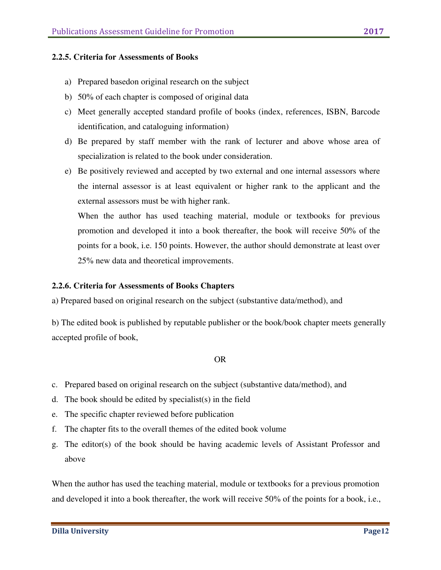#### **2.2.5. Criteria for Assessments of Books**

- a) Prepared basedon original research on the subject
- b) 50% of each chapter is composed of original data
- c) Meet generally accepted standard profile of books (index, references, ISBN, Barcode identification, and cataloguing information)
- d) Be prepared by staff member with the rank of lecturer and above whose area of specialization is related to the book under consideration.
- e) Be positively reviewed and accepted by two external and one internal assessors where the internal assessor is at least equivalent or higher rank to the applicant and the external assessors must be with higher rank.

When the author has used teaching material, module or textbooks for previous promotion and developed it into a book thereafter, the book will receive 50% of the points for a book, i.e. 150 points. However, the author should demonstrate at least over 25% new data and theoretical improvements.

#### **2.2.6. Criteria for Assessments of Books Chapters**

a) Prepared based on original research on the subject (substantive data/method), and

b) The edited book is published by reputable publisher or the book/book chapter meets generally accepted profile of book,

#### OR

- c. Prepared based on original research on the subject (substantive data/method), and
- d. The book should be edited by specialist(s) in the field
- e. The specific chapter reviewed before publication
- f. The chapter fits to the overall themes of the edited book volume
- g. The editor(s) of the book should be having academic levels of Assistant Professor and above

When the author has used the teaching material, module or textbooks for a previous promotion and developed it into a book thereafter, the work will receive 50% of the points for a book, i.e.,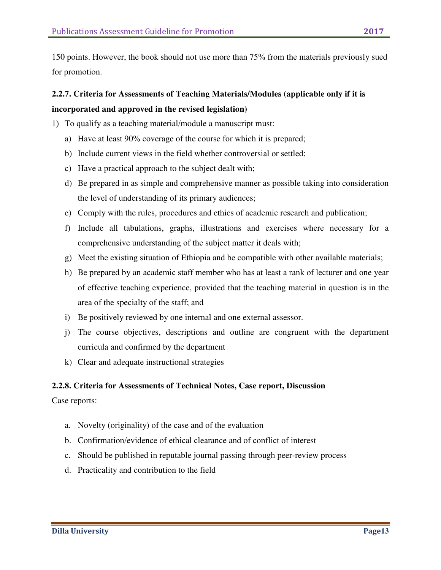150 points. However, the book should not use more than 75% from the materials previously sued for promotion.

# **2.2.7. Criteria for Assessments of Teaching Materials/Modules (applicable only if it is incorporated and approved in the revised legislation)**

- 1) To qualify as a teaching material/module a manuscript must:
	- a) Have at least 90% coverage of the course for which it is prepared;
	- b) Include current views in the field whether controversial or settled;
	- c) Have a practical approach to the subject dealt with;
	- d) Be prepared in as simple and comprehensive manner as possible taking into consideration the level of understanding of its primary audiences;
	- e) Comply with the rules, procedures and ethics of academic research and publication;
	- f) Include all tabulations, graphs, illustrations and exercises where necessary for a comprehensive understanding of the subject matter it deals with;
	- g) Meet the existing situation of Ethiopia and be compatible with other available materials;
	- h) Be prepared by an academic staff member who has at least a rank of lecturer and one year of effective teaching experience, provided that the teaching material in question is in the area of the specialty of the staff; and
	- i) Be positively reviewed by one internal and one external assessor.
	- j) The course objectives, descriptions and outline are congruent with the department curricula and confirmed by the department
	- k) Clear and adequate instructional strategies

#### **2.2.8. Criteria for Assessments of Technical Notes, Case report, Discussion**

Case reports:

- a. Novelty (originality) of the case and of the evaluation
- b. Confirmation/evidence of ethical clearance and of conflict of interest
- c. Should be published in reputable journal passing through peer-review process
- d. Practicality and contribution to the field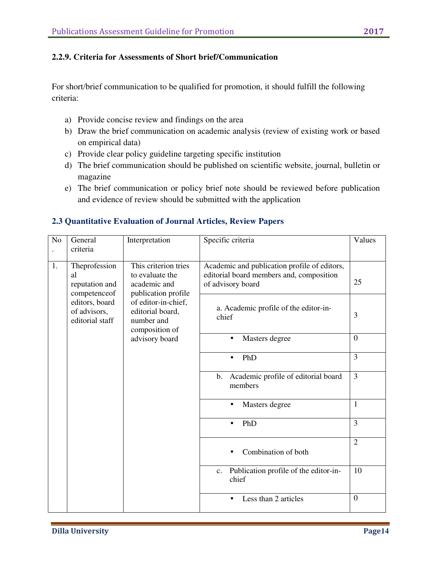#### **2.2.9. Criteria for Assessments of Short brief/Communication**

For short/brief communication to be qualified for promotion, it should fulfill the following criteria:

- a) Provide concise review and findings on the area
- b) Draw the brief communication on academic analysis (review of existing work or based on empirical data)
- c) Provide clear policy guideline targeting specific institution
- d) The brief communication should be published on scientific website, journal, bulletin or magazine
- e) The brief communication or policy brief note should be reviewed before publication and evidence of review should be submitted with the application

| N <sub>o</sub> | General                                               | Interpretation                                                                 | Specific criteria                                                                                             | Values         |
|----------------|-------------------------------------------------------|--------------------------------------------------------------------------------|---------------------------------------------------------------------------------------------------------------|----------------|
|                | criteria                                              |                                                                                |                                                                                                               |                |
| 1.             | Theprofession<br>al<br>reputation and<br>competenceof | This criterion tries<br>to evaluate the<br>academic and<br>publication profile | Academic and publication profile of editors,<br>editorial board members and, composition<br>of advisory board | 25             |
|                | editors, board<br>of advisors,<br>editorial staff     | of editor-in-chief,<br>editorial board,<br>number and<br>composition of        | a. Academic profile of the editor-in-<br>chief                                                                | 3              |
|                |                                                       | advisory board                                                                 | Masters degree<br>$\bullet$                                                                                   | $\overline{0}$ |
|                |                                                       |                                                                                | PhD<br>$\bullet$                                                                                              | 3              |
|                |                                                       |                                                                                | Academic profile of editorial board<br>$\mathbf{b}$ .<br>members                                              | $\overline{3}$ |
|                |                                                       |                                                                                | Masters degree                                                                                                | $\mathbf{1}$   |
|                |                                                       |                                                                                | PhD                                                                                                           | 3              |
|                |                                                       |                                                                                | Combination of both                                                                                           | $\overline{2}$ |
|                |                                                       |                                                                                | c. Publication profile of the editor-in-<br>chief                                                             | 10             |
|                |                                                       |                                                                                | Less than 2 articles                                                                                          | $\mathbf{0}$   |

#### **2.3 Quantitative Evaluation of Journal Articles, Review Papers**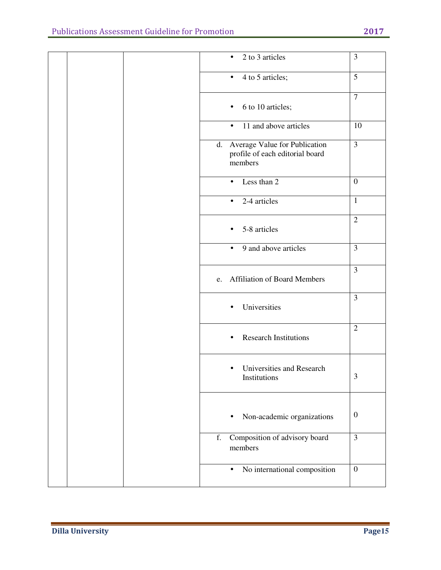|  | 2 to 3 articles<br>$\bullet$                                                   | 3                       |
|--|--------------------------------------------------------------------------------|-------------------------|
|  | 4 to 5 articles;<br>$\bullet$                                                  | $\overline{5}$          |
|  | 6 to 10 articles;<br>$\bullet$                                                 | $\overline{7}$          |
|  | 11 and above articles<br>$\bullet$                                             | 10                      |
|  | d. Average Value for Publication<br>profile of each editorial board<br>members | $\overline{3}$          |
|  | Less than 2<br>$\bullet$                                                       | $\mathbf{0}$            |
|  | 2-4 articles<br>$\bullet$                                                      | $\mathbf{1}$            |
|  | 5-8 articles                                                                   | $\overline{2}$          |
|  | 9 and above articles<br>$\bullet$                                              | $\overline{3}$          |
|  | e. Affiliation of Board Members                                                | $\overline{3}$          |
|  | Universities                                                                   | $\overline{3}$          |
|  | <b>Research Institutions</b><br>٠                                              | $\overline{2}$          |
|  | Universities and Research<br>Institutions                                      | $\mathfrak{Z}$          |
|  | Non-academic organizations                                                     | $\boldsymbol{0}$        |
|  | Composition of advisory board<br>f.<br>members                                 | $\overline{\mathbf{3}}$ |
|  | No international composition<br>$\bullet$                                      | $\boldsymbol{0}$        |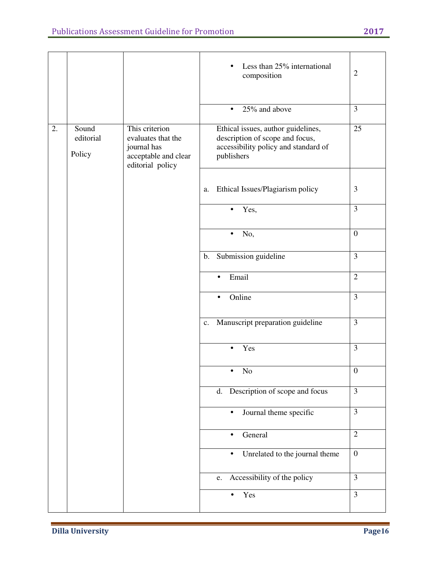|    |                              |                                                                                                 | Less than 25% international<br>composition                                                                                  | $\overline{2}$   |
|----|------------------------------|-------------------------------------------------------------------------------------------------|-----------------------------------------------------------------------------------------------------------------------------|------------------|
|    |                              |                                                                                                 | 25% and above<br>$\bullet$                                                                                                  | 3                |
| 2. | Sound<br>editorial<br>Policy | This criterion<br>evaluates that the<br>journal has<br>acceptable and clear<br>editorial policy | Ethical issues, author guidelines,<br>description of scope and focus,<br>accessibility policy and standard of<br>publishers | 25               |
|    |                              |                                                                                                 | Ethical Issues/Plagiarism policy<br>a.                                                                                      | 3                |
|    |                              |                                                                                                 | Yes,<br>$\bullet$                                                                                                           | $\overline{3}$   |
|    |                              |                                                                                                 | No,<br>$\bullet$                                                                                                            | $\mathbf{0}$     |
|    |                              |                                                                                                 | Submission guideline<br>$\mathbf b$ .                                                                                       | $\overline{3}$   |
|    |                              |                                                                                                 | Email<br>$\bullet$                                                                                                          | $\overline{2}$   |
|    |                              |                                                                                                 | Online<br>$\bullet$                                                                                                         | 3                |
|    |                              |                                                                                                 | Manuscript preparation guideline<br>c.                                                                                      | 3                |
|    |                              |                                                                                                 | Yes<br>$\bullet$                                                                                                            | $\overline{3}$   |
|    |                              |                                                                                                 | N <sub>o</sub><br>$\bullet$                                                                                                 | $\boldsymbol{0}$ |
|    |                              |                                                                                                 | Description of scope and focus<br>d.                                                                                        | $\overline{3}$   |
|    |                              |                                                                                                 | Journal theme specific<br>$\bullet$                                                                                         | $\overline{3}$   |
|    |                              |                                                                                                 | General<br>$\bullet$                                                                                                        | $\overline{2}$   |
|    |                              |                                                                                                 | Unrelated to the journal theme<br>$\bullet$                                                                                 | $\mathbf{0}$     |
|    |                              |                                                                                                 | Accessibility of the policy<br>e.                                                                                           | $\overline{3}$   |
|    |                              |                                                                                                 | Yes                                                                                                                         | $\overline{3}$   |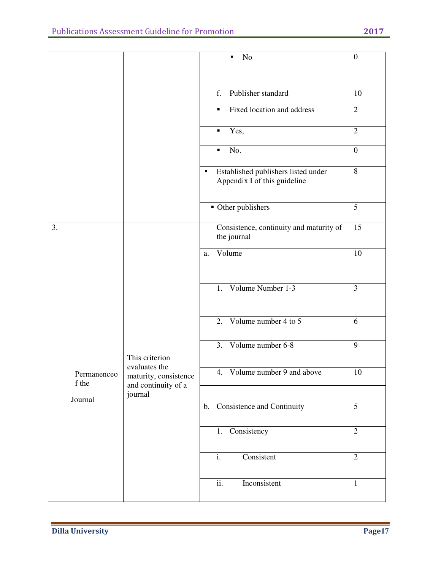|    |                      |                                                          | No<br>$\bullet$                                                                  | $\boldsymbol{0}$ |
|----|----------------------|----------------------------------------------------------|----------------------------------------------------------------------------------|------------------|
|    |                      |                                                          |                                                                                  |                  |
|    |                      |                                                          | Publisher standard<br>f.                                                         | 10               |
|    |                      |                                                          | Fixed location and address<br>$\blacksquare$                                     | $\overline{2}$   |
|    |                      |                                                          | Yes,<br>$\blacksquare$                                                           | $\overline{2}$   |
|    |                      |                                                          | No.<br>$\blacksquare$                                                            | $\boldsymbol{0}$ |
|    |                      |                                                          | Established publishers listed under<br>$\bullet$<br>Appendix I of this guideline | $\overline{8}$   |
|    |                      |                                                          | • Other publishers                                                               | $\overline{5}$   |
| 3. |                      |                                                          | Consistence, continuity and maturity of<br>the journal                           | 15               |
|    |                      |                                                          | Volume<br>a.                                                                     | 10               |
|    |                      |                                                          |                                                                                  |                  |
|    |                      |                                                          | Volume Number 1-3<br>1.                                                          | $\overline{3}$   |
|    |                      |                                                          | Volume number 4 to 5<br>2.                                                       | 6                |
|    |                      |                                                          | Volume number 6-8<br>3.                                                          | 9                |
|    | Permanenceo<br>f the | This criterion<br>evaluates the<br>maturity, consistence | 4. Volume number 9 and above                                                     | 10               |
|    | journal<br>Journal   | and continuity of a                                      | Consistence and Continuity<br>b.                                                 | $\mathfrak{S}$   |
|    |                      |                                                          | 1. Consistency                                                                   | $\overline{2}$   |
|    |                      |                                                          | $\overline{i}$ .<br>Consistent                                                   | $\overline{2}$   |
|    |                      |                                                          | ii.<br>Inconsistent                                                              | $\mathbf{1}$     |
|    |                      |                                                          |                                                                                  |                  |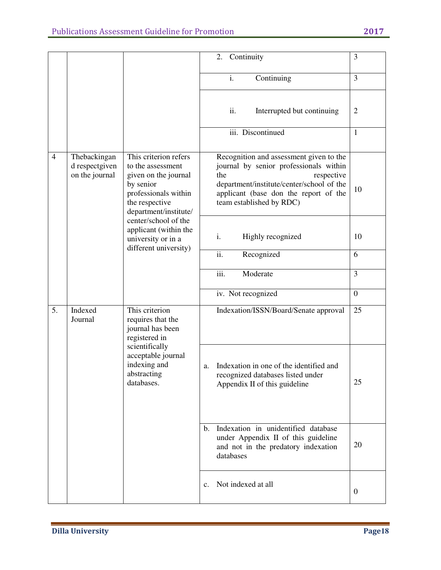|                |                                                  |                                                                                                                                                    | 2. Continuity                                                                                                                                                                                                            | 3                |
|----------------|--------------------------------------------------|----------------------------------------------------------------------------------------------------------------------------------------------------|--------------------------------------------------------------------------------------------------------------------------------------------------------------------------------------------------------------------------|------------------|
|                |                                                  |                                                                                                                                                    | Continuing<br>i.                                                                                                                                                                                                         | $\overline{3}$   |
|                |                                                  |                                                                                                                                                    | ii.<br>Interrupted but continuing                                                                                                                                                                                        | $\overline{2}$   |
|                |                                                  |                                                                                                                                                    | iii. Discontinued                                                                                                                                                                                                        | $\mathbf{1}$     |
| $\overline{4}$ | Thebackingan<br>d respectgiven<br>on the journal | This criterion refers<br>to the assessment<br>given on the journal<br>by senior<br>professionals within<br>the respective<br>department/institute/ | Recognition and assessment given to the<br>journal by senior professionals within<br>the<br>respective<br>department/institute/center/school of the<br>applicant (base don the report of the<br>team established by RDC) | 10               |
|                |                                                  | center/school of the<br>applicant (within the<br>university or in a<br>different university)                                                       | i.<br>Highly recognized                                                                                                                                                                                                  | 10               |
|                |                                                  |                                                                                                                                                    | ii.<br>Recognized                                                                                                                                                                                                        | 6                |
|                |                                                  |                                                                                                                                                    | iii.<br>Moderate                                                                                                                                                                                                         | 3                |
|                |                                                  |                                                                                                                                                    | iv. Not recognized                                                                                                                                                                                                       | $\boldsymbol{0}$ |
| 5.             | Indexed<br>Journal                               | This criterion<br>requires that the<br>journal has been<br>registered in                                                                           | Indexation/ISSN/Board/Senate approval                                                                                                                                                                                    | 25               |
|                |                                                  | scientifically<br>acceptable journal<br>indexing and<br>abstracting<br>databases.                                                                  | Indexation in one of the identified and<br>a.<br>recognized databases listed under<br>Appendix II of this guideline                                                                                                      | 25               |
|                |                                                  |                                                                                                                                                    | Indexation in unidentified database<br>b.<br>under Appendix II of this guideline<br>and not in the predatory indexation<br>databases                                                                                     | 20               |
|                |                                                  |                                                                                                                                                    | Not indexed at all<br>$\mathbf{c}$ .                                                                                                                                                                                     | $\overline{0}$   |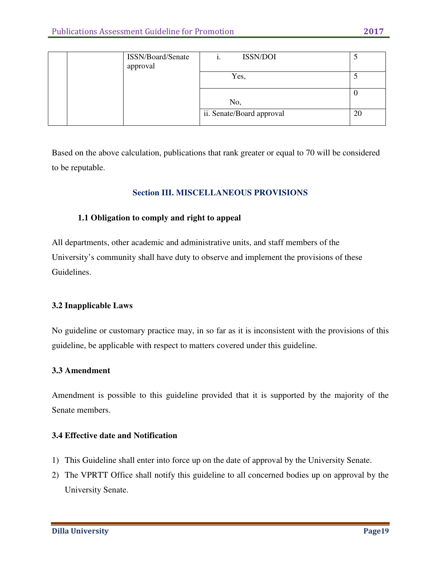| ISSN/Board/Senate | <b>ISSN/DOI</b>           |    |
|-------------------|---------------------------|----|
| approval          |                           |    |
|                   | Yes,                      |    |
|                   |                           |    |
|                   |                           |    |
|                   | No,                       |    |
|                   | ii. Senate/Board approval | 20 |
|                   |                           |    |

Based on the above calculation, publications that rank greater or equal to 70 will be considered to be reputable.

#### **Section III. MISCELLANEOUS PROVISIONS**

#### **1.1 Obligation to comply and right to appeal**

All departments, other academic and administrative units, and staff members of the University's community shall have duty to observe and implement the provisions of these Guidelines.

#### **3.2 Inapplicable Laws**

No guideline or customary practice may, in so far as it is inconsistent with the provisions of this guideline, be applicable with respect to matters covered under this guideline.

#### **3.3 Amendment**

Amendment is possible to this guideline provided that it is supported by the majority of the Senate members.

#### **3.4 Effective date and Notification**

- 1) This Guideline shall enter into force up on the date of approval by the University Senate.
- 2) The VPRTT Office shall notify this guideline to all concerned bodies up on approval by the University Senate.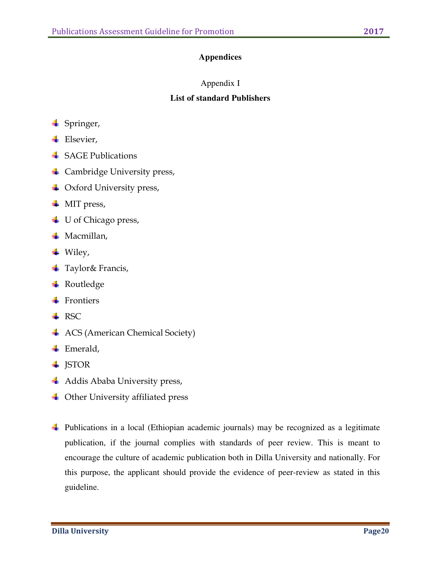### **Appendices**

## Appendix I

### **List of standard Publishers**

- **Springer**,
- **Elsevier**,
- SAGE Publications
- **↓** Cambridge University press,
- Oxford University press,
- $\blacksquare$  MIT press,
- $\ddot{\phantom{a}}$  U of Chicago press,
- **Wacmillan**,
- $\ddot{\bullet}$  Wiley,
- $\pm$  Taylor& Francis,
- **Routledge**
- $\blacksquare$  Frontiers
- $\overline{\phantom{a}}$  RSC
- **ACS** (American Chemical Society)
- $\overline{\phantom{a}}$  Emerald,
- $\blacksquare$  JSTOR
- **Addis Ababa University press,**
- **H** Other University affiliated press
- **Publications in a local (Ethiopian academic journals) may be recognized as a legitimate** publication, if the journal complies with standards of peer review. This is meant to encourage the culture of academic publication both in Dilla University and nationally. For this purpose, the applicant should provide the evidence of peer-review as stated in this guideline.